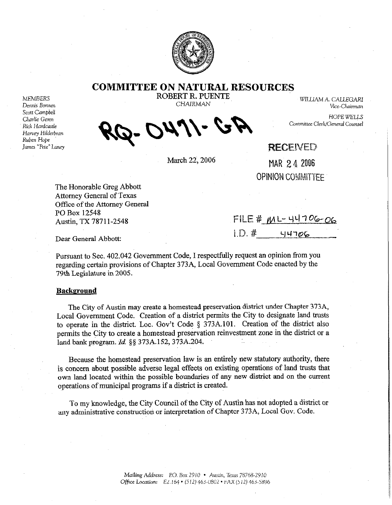

**COMMITTEE ON NATURAL RESOURCES** 

Scott Campbell Harvey Hilderbran Ruben Hope James "Pete" Laney

**Charlie Geren HOPE WELL** Rick Hardcastle **Cammittee Clerk/General Counsel** *f&J+ Kpi?!k WA* 

MEMBERS **ROBERT R. PUENTE** WILLIAM A. CALLEGARI<br>Dennis Bonnen Vice-Chairman Vice-Chairman Dennis Bmmm CHAIRMAN Vice-Chainnan

## **RECEWED**

March 22, 2006 MAR 2 4 2006 OPINION COMMITTEE

The Honorable Greg Abbott Attorney General of Texas Office of the Attorney General PO Box 12548

Austin, TX 78711-2548 FILE #  $M L - 44706 - 06$  $1. D.$   $*$   $4706$ 

Dear General Abbott:

Pursuant to Sec. 402.042 Government Code, I respectfully request an opinion from you regarding certain provisions of Chapter 373A, Local Government Code enacted by the 79th Legislature in 2005.

## **Background**

The City of Austin may create a homestead preservation district under Chapter 373A, Local Government Code. Creation of a district permits the City to designate land trusts to operate in the district. Loc. Gov't Code  $\S$  373A.101. Creation of the district also permits the City to create a homestead preservation reinvestment zone in the district or a land bank program. *Id. \$5* 373A.152,373A.204.

Because the homestead preservation law is an entirely new statutory authority, there is concern about possible adverse legal effects on existing operations of land trusts that own land located within the possible boundaries of any new district and on the current operations of municipal programs if a district is created.

To my knowledge, the City Council of the City of Austin has not adopted a district or any administrative construction or interpretation of Chapter 373A, Local Gov. Code.